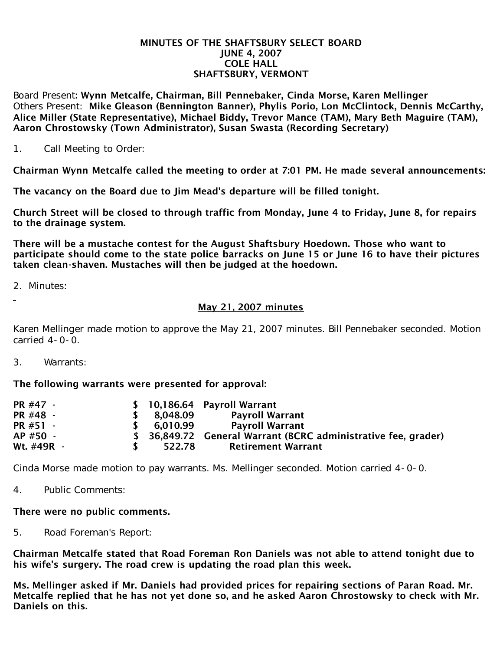#### MINUTES OF THE SHAFTSBURY SELECT BOARD JUNE 4, 2007 COLE HALL SHAFTSBURY, VERMONT

Board Present: Wynn Metcalfe, Chairman, Bill Pennebaker, Cinda Morse, Karen Mellinger Others Present: Mike Gleason (Bennington Banner), Phylis Porio, Lon McClintock, Dennis McCarthy, Alice Miller (State Representative), Michael Biddy, Trevor Mance (TAM), Mary Beth Maguire (TAM), Aaron Chrostowsky (Town Administrator), Susan Swasta (Recording Secretary)

1. Call Meeting to Order:

Chairman Wynn Metcalfe called the meeting to order at 7:01 PM. He made several announcements:

The vacancy on the Board due to Jim Mead's departure will be filled tonight.

Church Street will be closed to through traffic from Monday, June 4 to Friday, June 8, for repairs to the drainage system.

There will be a mustache contest for the August Shaftsbury Hoedown. Those who want to participate should come to the state police barracks on June 15 or June 16 to have their pictures taken clean-shaven. Mustaches will then be judged at the hoedown.

2. Minutes:

# May 21, 2007 minutes

Karen Mellinger made motion to approve the May 21, 2007 minutes. Bill Pennebaker seconded. Motion carried 4-0-0.

3. Warrants:

### The following warrants were presented for approval:

| PR #47 -   |            | $$10,186.64$ Payroll Warrant                                   |
|------------|------------|----------------------------------------------------------------|
| PR #48 -   | \$8.048.09 | <b>Payroll Warrant</b>                                         |
| PR #51 -   | \$6.010.99 | Payroll Warrant                                                |
| AP #50 -   |            | \$ 36,849.72 General Warrant (BCRC administrative fee, grader) |
| Wt. #49R - | 522.78     | Retirement Warrant                                             |

Cinda Morse made motion to pay warrants. Ms. Mellinger seconded. Motion carried 4-0-0.

4. Public Comments:

### There were no public comments.

5. Road Foreman's Report:

Chairman Metcalfe stated that Road Foreman Ron Daniels was not able to attend tonight due to his wife's surgery. The road crew is updating the road plan this week.

Ms. Mellinger asked if Mr. Daniels had provided prices for repairing sections of Paran Road. Mr. Metcalfe replied that he has not yet done so, and he asked Aaron Chrostowsky to check with Mr. Daniels on this.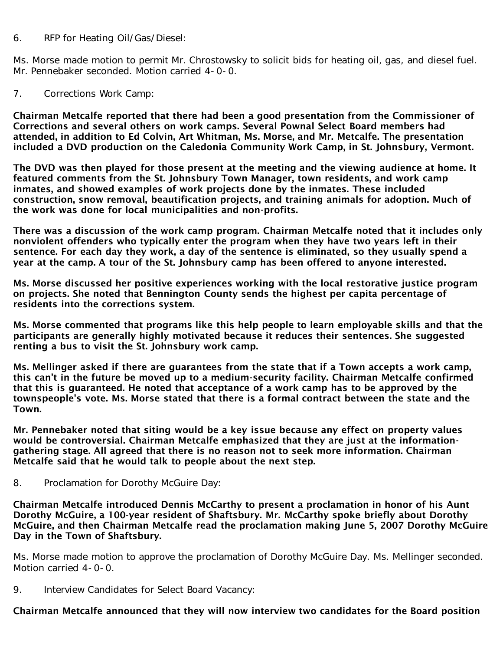### 6. RFP for Heating Oil/Gas/Diesel:

Ms. Morse made motion to permit Mr. Chrostowsky to solicit bids for heating oil, gas, and diesel fuel. Mr. Pennebaker seconded. Motion carried 4-0-0.

### 7. Corrections Work Camp:

Chairman Metcalfe reported that there had been a good presentation from the Commissioner of Corrections and several others on work camps. Several Pownal Select Board members had attended, in addition to Ed Colvin, Art Whitman, Ms. Morse, and Mr. Metcalfe. The presentation included a DVD production on the Caledonia Community Work Camp, in St. Johnsbury, Vermont.

The DVD was then played for those present at the meeting and the viewing audience at home. It featured comments from the St. Johnsbury Town Manager, town residents, and work camp inmates, and showed examples of work projects done by the inmates. These included construction, snow removal, beautification projects, and training animals for adoption. Much of the work was done for local municipalities and non-profits.

There was a discussion of the work camp program. Chairman Metcalfe noted that it includes only nonviolent offenders who typically enter the program when they have two years left in their sentence. For each day they work, a day of the sentence is eliminated, so they usually spend a year at the camp. A tour of the St. Johnsbury camp has been offered to anyone interested.

Ms. Morse discussed her positive experiences working with the local restorative justice program on projects. She noted that Bennington County sends the highest per capita percentage of residents into the corrections system.

Ms. Morse commented that programs like this help people to learn employable skills and that the participants are generally highly motivated because it reduces their sentences. She suggested renting a bus to visit the St. Johnsbury work camp.

Ms. Mellinger asked if there are guarantees from the state that if a Town accepts a work camp, this can't in the future be moved up to a medium-security facility. Chairman Metcalfe confirmed that this is guaranteed. He noted that acceptance of a work camp has to be approved by the townspeople's vote. Ms. Morse stated that there is a formal contract between the state and the Town.

Mr. Pennebaker noted that siting would be a key issue because any effect on property values would be controversial. Chairman Metcalfe emphasized that they are just at the informationgathering stage. All agreed that there is no reason not to seek more information. Chairman Metcalfe said that he would talk to people about the next step.

8. Proclamation for Dorothy McGuire Day:

Chairman Metcalfe introduced Dennis McCarthy to present a proclamation in honor of his Aunt Dorothy McGuire, a 100-year resident of Shaftsbury. Mr. McCarthy spoke briefly about Dorothy McGuire, and then Chairman Metcalfe read the proclamation making June 5, 2007 Dorothy McGuire Day in the Town of Shaftsbury.

Ms. Morse made motion to approve the proclamation of Dorothy McGuire Day. Ms. Mellinger seconded. Motion carried 4-0-0.

9. Interview Candidates for Select Board Vacancy:

## Chairman Metcalfe announced that they will now interview two candidates for the Board position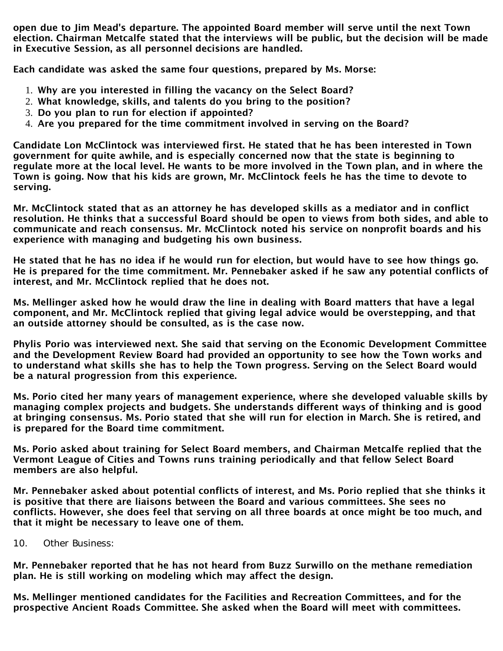open due to Jim Mead's departure. The appointed Board member will serve until the next Town election. Chairman Metcalfe stated that the interviews will be public, but the decision will be made in Executive Session, as all personnel decisions are handled.

Each candidate was asked the same four questions, prepared by Ms. Morse:

- 1. Why are you interested in filling the vacancy on the Select Board?
- 2. What knowledge, skills, and talents do you bring to the position?
- 3. Do you plan to run for election if appointed?
- 4. Are you prepared for the time commitment involved in serving on the Board?

Candidate Lon McClintock was interviewed first. He stated that he has been interested in Town government for quite awhile, and is especially concerned now that the state is beginning to regulate more at the local level. He wants to be more involved in the Town plan, and in where the Town is going. Now that his kids are grown, Mr. McClintock feels he has the time to devote to serving.

Mr. McClintock stated that as an attorney he has developed skills as a mediator and in conflict resolution. He thinks that a successful Board should be open to views from both sides, and able to communicate and reach consensus. Mr. McClintock noted his service on nonprofit boards and his experience with managing and budgeting his own business.

He stated that he has no idea if he would run for election, but would have to see how things go. He is prepared for the time commitment. Mr. Pennebaker asked if he saw any potential conflicts of interest, and Mr. McClintock replied that he does not.

Ms. Mellinger asked how he would draw the line in dealing with Board matters that have a legal component, and Mr. McClintock replied that giving legal advice would be overstepping, and that an outside attorney should be consulted, as is the case now.

Phylis Porio was interviewed next. She said that serving on the Economic Development Committee and the Development Review Board had provided an opportunity to see how the Town works and to understand what skills she has to help the Town progress. Serving on the Select Board would be a natural progression from this experience.

Ms. Porio cited her many years of management experience, where she developed valuable skills by managing complex projects and budgets. She understands different ways of thinking and is good at bringing consensus. Ms. Porio stated that she will run for election in March. She is retired, and is prepared for the Board time commitment.

Ms. Porio asked about training for Select Board members, and Chairman Metcalfe replied that the Vermont League of Cities and Towns runs training periodically and that fellow Select Board members are also helpful.

Mr. Pennebaker asked about potential conflicts of interest, and Ms. Porio replied that she thinks it is positive that there are liaisons between the Board and various committees. She sees no conflicts. However, she does feel that serving on all three boards at once might be too much, and that it might be necessary to leave one of them.

10. Other Business:

Mr. Pennebaker reported that he has not heard from Buzz Surwillo on the methane remediation plan. He is still working on modeling which may affect the design.

Ms. Mellinger mentioned candidates for the Facilities and Recreation Committees, and for the prospective Ancient Roads Committee. She asked when the Board will meet with committees.